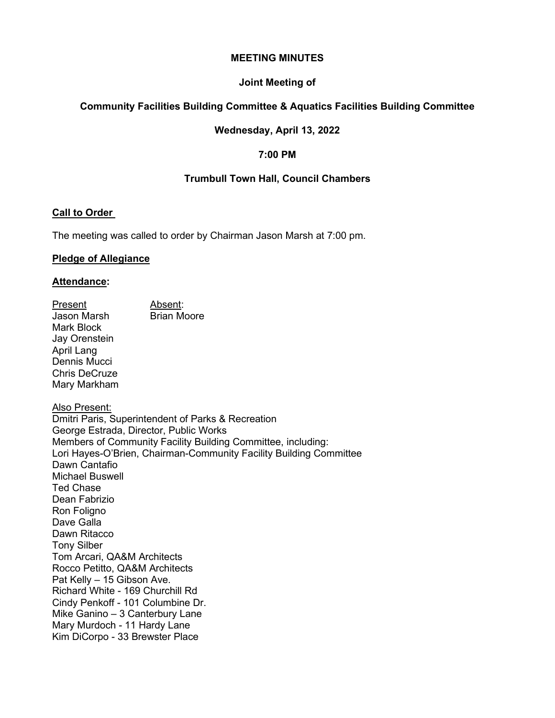#### **MEETING MINUTES**

### **Joint Meeting of**

# **Community Facilities Building Committee & Aquatics Facilities Building Committee**

## **Wednesday, April 13, 2022**

## **7:00 PM**

## **Trumbull Town Hall, Council Chambers**

### **Call to Order**

The meeting was called to order by Chairman Jason Marsh at 7:00 pm.

### **Pledge of Allegiance**

### **Attendance:**

<u>Present</u><br>Jason Marsh Brian Moore Jason Marsh Mark Block Jay Orenstein April Lang Dennis Mucci Chris DeCruze Mary Markham

Also Present: Dmitri Paris, Superintendent of Parks & Recreation George Estrada, Director, Public Works Members of Community Facility Building Committee, including: Lori Hayes-O'Brien, Chairman-Community Facility Building Committee Dawn Cantafio Michael Buswell Ted Chase Dean Fabrizio Ron Foligno Dave Galla Dawn Ritacco Tony Silber Tom Arcari, QA&M Architects Rocco Petitto, QA&M Architects Pat Kelly – 15 Gibson Ave. Richard White - 169 Churchill Rd Cindy Penkoff - 101 Columbine Dr. Mike Ganino – 3 Canterbury Lane Mary Murdoch - 11 Hardy Lane Kim DiCorpo - 33 Brewster Place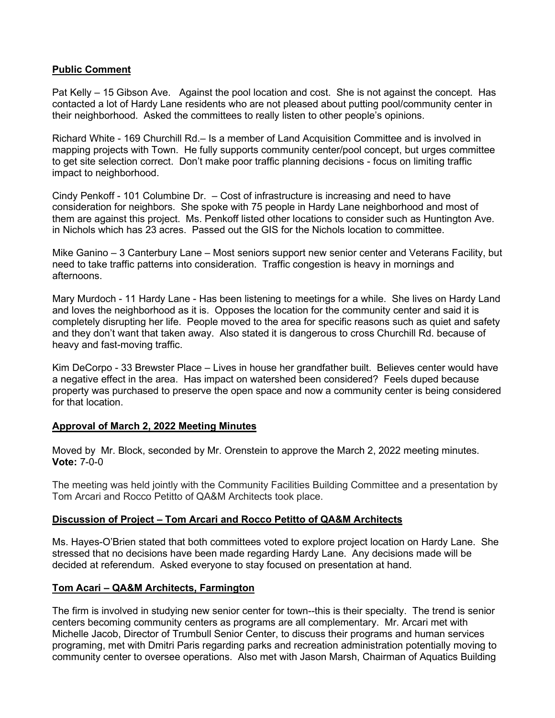## **Public Comment**

Pat Kelly – 15 Gibson Ave. Against the pool location and cost. She is not against the concept. Has contacted a lot of Hardy Lane residents who are not pleased about putting pool/community center in their neighborhood. Asked the committees to really listen to other people's opinions.

Richard White - 169 Churchill Rd.– Is a member of Land Acquisition Committee and is involved in mapping projects with Town. He fully supports community center/pool concept, but urges committee to get site selection correct. Don't make poor traffic planning decisions - focus on limiting traffic impact to neighborhood.

Cindy Penkoff - 101 Columbine Dr. – Cost of infrastructure is increasing and need to have consideration for neighbors. She spoke with 75 people in Hardy Lane neighborhood and most of them are against this project. Ms. Penkoff listed other locations to consider such as Huntington Ave. in Nichols which has 23 acres. Passed out the GIS for the Nichols location to committee.

Mike Ganino – 3 Canterbury Lane – Most seniors support new senior center and Veterans Facility, but need to take traffic patterns into consideration. Traffic congestion is heavy in mornings and afternoons.

Mary Murdoch - 11 Hardy Lane - Has been listening to meetings for a while. She lives on Hardy Land and loves the neighborhood as it is. Opposes the location for the community center and said it is completely disrupting her life. People moved to the area for specific reasons such as quiet and safety and they don't want that taken away. Also stated it is dangerous to cross Churchill Rd. because of heavy and fast-moving traffic.

Kim DeCorpo - 33 Brewster Place – Lives in house her grandfather built. Believes center would have a negative effect in the area. Has impact on watershed been considered? Feels duped because property was purchased to preserve the open space and now a community center is being considered for that location.

# **Approval of March 2, 2022 Meeting Minutes**

Moved by Mr. Block, seconded by Mr. Orenstein to approve the March 2, 2022 meeting minutes. **Vote:** 7-0-0

The meeting was held jointly with the Community Facilities Building Committee and a presentation by Tom Arcari and Rocco Petitto of QA&M Architects took place.

# **Discussion of Project – Tom Arcari and Rocco Petitto of QA&M Architects**

Ms. Hayes-O'Brien stated that both committees voted to explore project location on Hardy Lane. She stressed that no decisions have been made regarding Hardy Lane. Any decisions made will be decided at referendum. Asked everyone to stay focused on presentation at hand.

### **Tom Acari – QA&M Architects, Farmington**

The firm is involved in studying new senior center for town--this is their specialty. The trend is senior centers becoming community centers as programs are all complementary. Mr. Arcari met with Michelle Jacob, Director of Trumbull Senior Center, to discuss their programs and human services programing, met with Dmitri Paris regarding parks and recreation administration potentially moving to community center to oversee operations. Also met with Jason Marsh, Chairman of Aquatics Building